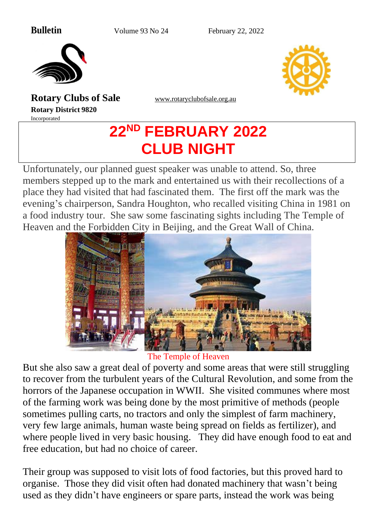**Bulletin** Volume 93 No 24 February 22, 2022



**Rotary Clubs of Sale** [www.rotaryclubofsale.org.au](http://www.rotaryclubofsale.org.au/) **Rotary District 9820** Incorporated

# **22ND FEBRUARY 2022 CLUB NIGHT**

Unfortunately, our planned guest speaker was unable to attend. So, three members stepped up to the mark and entertained us with their recollections of a place they had visited that had fascinated them. The first off the mark was the evening's chairperson, Sandra Houghton, who recalled visiting China in 1981 on a food industry tour. She saw some fascinating sights including The Temple of Heaven and the Forbidden City in Beijing, and the Great Wall of China.



The Temple of Heaven

But she also saw a great deal of poverty and some areas that were still struggling to recover from the turbulent years of the Cultural Revolution, and some from the horrors of the Japanese occupation in WWII. She visited communes where most of the farming work was being done by the most primitive of methods (people sometimes pulling carts, no tractors and only the simplest of farm machinery, very few large animals, human waste being spread on fields as fertilizer), and where people lived in very basic housing. They did have enough food to eat and free education, but had no choice of career.

Their group was supposed to visit lots of food factories, but this proved hard to organise. Those they did visit often had donated machinery that wasn't being used as they didn't have engineers or spare parts, instead the work was being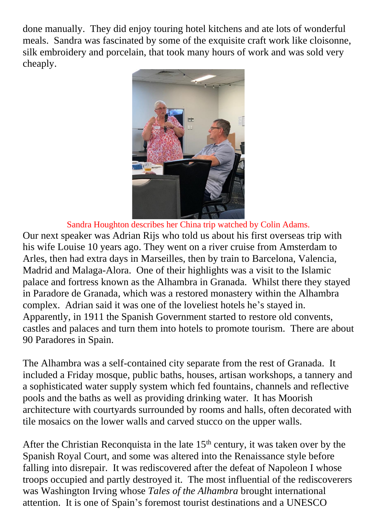done manually. They did enjoy touring hotel kitchens and ate lots of wonderful meals. Sandra was fascinated by some of the exquisite craft work like cloisonne, silk embroidery and porcelain, that took many hours of work and was sold very cheaply.



Sandra Houghton describes her China trip watched by Colin Adams. Our next speaker was Adrian Rijs who told us about his first overseas trip with his wife Louise 10 years ago. They went on a river cruise from Amsterdam to Arles, then had extra days in Marseilles, then by train to Barcelona, Valencia, Madrid and Malaga-Alora. One of their highlights was a visit to the Islamic palace and fortress known as the Alhambra in Granada. Whilst there they stayed in Paradore de Granada, which was a restored monastery within the Alhambra complex. Adrian said it was one of the loveliest hotels he's stayed in. Apparently, in 1911 the Spanish Government started to restore old convents, castles and palaces and turn them into hotels to promote tourism. There are about 90 Paradores in Spain.

The Alhambra was a self-contained city separate from the rest of Granada. It included a Friday mosque, public baths, houses, artisan workshops, a tannery and a sophisticated water supply system which fed fountains, channels and reflective pools and the baths as well as providing drinking water. It has Moorish architecture with courtyards surrounded by rooms and halls, often decorated with tile mosaics on the lower walls and carved stucco on the upper walls.

After the Christian Reconquista in the late  $15<sup>th</sup>$  century, it was taken over by the Spanish Royal Court, and some was altered into the Renaissance style before falling into disrepair. It was rediscovered after the defeat of Napoleon I whose troops occupied and partly destroyed it. The most influential of the rediscoverers was Washington Irving whose *Tales of the Alhambra* brought international attention. It is one of Spain's foremost tourist destinations and a UNESCO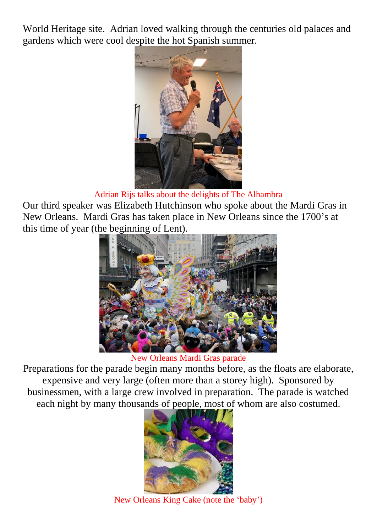World Heritage site. Adrian loved walking through the centuries old palaces and gardens which were cool despite the hot Spanish summer.



#### Adrian Rijs talks about the delights of The Alhambra

Our third speaker was Elizabeth Hutchinson who spoke about the Mardi Gras in New Orleans. Mardi Gras has taken place in New Orleans since the 1700's at this time of year (the beginning of Lent).



New Orleans Mardi Gras parade

Preparations for the parade begin many months before, as the floats are elaborate, expensive and very large (often more than a storey high). Sponsored by businessmen, with a large crew involved in preparation. The parade is watched each night by many thousands of people, most of whom are also costumed.



New Orleans King Cake (note the 'baby')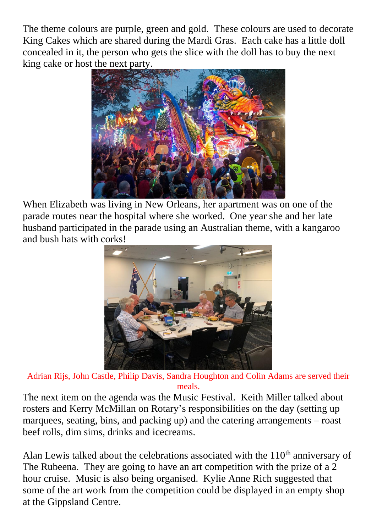The theme colours are purple, green and gold. These colours are used to decorate King Cakes which are shared during the Mardi Gras. Each cake has a little doll concealed in it, the person who gets the slice with the doll has to buy the next king cake or host the next party.



When Elizabeth was living in New Orleans, her apartment was on one of the parade routes near the hospital where she worked. One year she and her late husband participated in the parade using an Australian theme, with a kangaroo and bush hats with corks!



Adrian Rijs, John Castle, Philip Davis, Sandra Houghton and Colin Adams are served their meals.

The next item on the agenda was the Music Festival. Keith Miller talked about rosters and Kerry McMillan on Rotary's responsibilities on the day (setting up marquees, seating, bins, and packing up) and the catering arrangements – roast beef rolls, dim sims, drinks and icecreams.

Alan Lewis talked about the celebrations associated with the  $110<sup>th</sup>$  anniversary of The Rubeena. They are going to have an art competition with the prize of a 2 hour cruise. Music is also being organised. Kylie Anne Rich suggested that some of the art work from the competition could be displayed in an empty shop at the Gippsland Centre.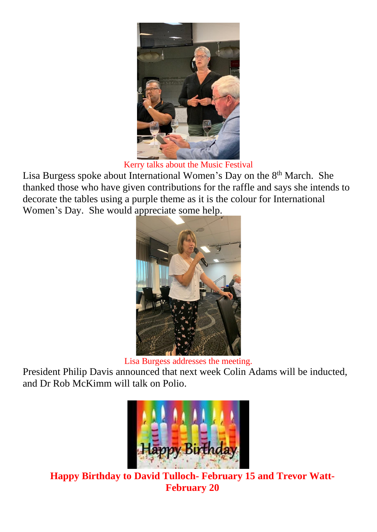

Kerry talks about the Music Festival

Lisa Burgess spoke about International Women's Day on the 8<sup>th</sup> March. She thanked those who have given contributions for the raffle and says she intends to decorate the tables using a purple theme as it is the colour for International Women's Day. She would appreciate some help.



Lisa Burgess addresses the meeting.

President Philip Davis announced that next week Colin Adams will be inducted, and Dr Rob McKimm will talk on Polio.



**Happy Birthday to David Tulloch- February 15 and Trevor Watt-February 20**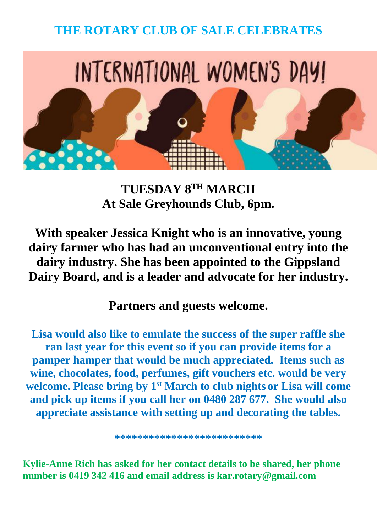## **THE ROTARY CLUB OF SALE CELEBRATES**



**TUESDAY 8TH MARCH At Sale Greyhounds Club, 6pm.**

**With speaker Jessica Knight who is an innovative, young dairy farmer who has had an unconventional entry into the dairy industry. She has been appointed to the Gippsland Dairy Board, and is a leader and advocate for her industry.**

**Partners and guests welcome.**

**Lisa would also like to emulate the success of the super raffle she ran last year for this event so if you can provide items for a pamper hamper that would be much appreciated. Items such as wine, chocolates, food, perfumes, gift vouchers etc. would be very welcome. Please bring by 1st March to club nights or Lisa will come and pick up items if you call her on 0480 287 677. She would also appreciate assistance with setting up and decorating the tables.**

**\*\*\*\*\*\*\*\*\*\*\*\*\*\*\*\*\*\*\*\*\*\*\*\*\*\***

**Kylie-Anne Rich has asked for her contact details to be shared, her phone number is 0419 342 416 and email address is kar.rotary@gmail.com**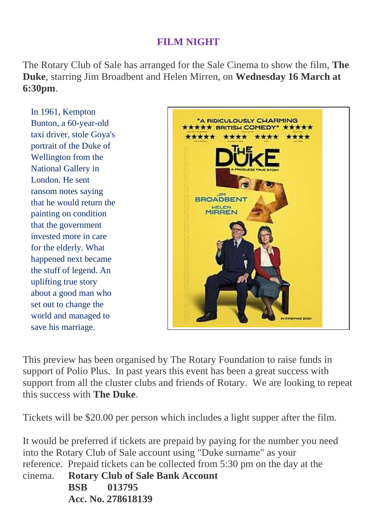### **FILM NIGHT**

The Rotary Club of Sale has arranged for the Sale Cinema to show the film, **The Duke**, starring Jim Broadbent and Helen Mirren, on **Wednesday 16 March at 6:30pm**.

In 1961, Kempton Bunton, a 60-year-old taxi driver, stole Goya's portrait of the Duke of Wellington from the National Gallery in London. He sent ransom notes saying that he would return the painting on condition that the government invested more in care for the elderly. What happened next became the stuff of legend. An uplifting true story about a good man who set out to change the world and managed to save his marriage.



This preview has been organised by The Rotary Foundation to raise funds in support of Polio Plus. In past years this event has been a great success with support from all the cluster clubs and friends of Rotary. We are looking to repeat this success with **The Duke**.

Tickets will be \$20.00 per person which includes a light supper after the film.

It would be preferred if tickets are prepaid by paying for the number you need into the Rotary Club of Sale account using "Duke surname" as your reference. Prepaid tickets can be collected from 5:30 pm on the day at the cinema. **Rotary Club of Sale Bank Account BSB 013795 Acc. No. 278618139**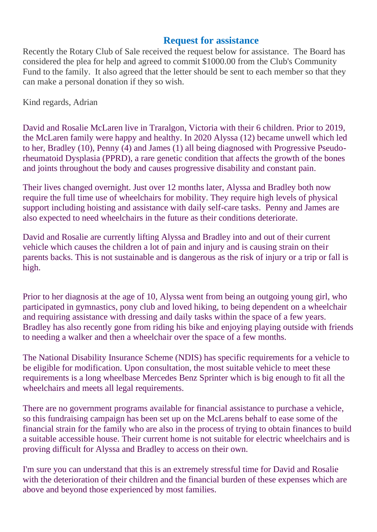#### **Request for assistance**

Recently the Rotary Club of Sale received the request below for assistance. The Board has considered the plea for help and agreed to commit \$1000.00 from the Club's Community Fund to the family. It also agreed that the letter should be sent to each member so that they can make a personal donation if they so wish.

Kind regards, Adrian

David and Rosalie McLaren live in Traralgon, Victoria with their 6 children. Prior to 2019, the McLaren family were happy and healthy. In 2020 Alyssa (12) became unwell which led to her, Bradley (10), Penny (4) and James (1) all being diagnosed with Progressive Pseudorheumatoid Dysplasia (PPRD), a rare genetic condition that affects the growth of the bones and joints throughout the body and causes progressive disability and constant pain.

Their lives changed overnight. Just over 12 months later, Alyssa and Bradley both now require the full time use of wheelchairs for mobility. They require high levels of physical support including hoisting and assistance with daily self-care tasks. Penny and James are also expected to need wheelchairs in the future as their conditions deteriorate.

David and Rosalie are currently lifting Alyssa and Bradley into and out of their current vehicle which causes the children a lot of pain and injury and is causing strain on their parents backs. This is not sustainable and is dangerous as the risk of injury or a trip or fall is high.

Prior to her diagnosis at the age of 10, Alyssa went from being an outgoing young girl, who participated in gymnastics, pony club and loved hiking, to being dependent on a wheelchair and requiring assistance with dressing and daily tasks within the space of a few years. Bradley has also recently gone from riding his bike and enjoying playing outside with friends to needing a walker and then a wheelchair over the space of a few months.

The National Disability Insurance Scheme (NDIS) has specific requirements for a vehicle to be eligible for modification. Upon consultation, the most suitable vehicle to meet these requirements is a long wheelbase Mercedes Benz Sprinter which is big enough to fit all the wheelchairs and meets all legal requirements.

There are no government programs available for financial assistance to purchase a vehicle, so this fundraising campaign has been set up on the McLarens behalf to ease some of the financial strain for the family who are also in the process of trying to obtain finances to build a suitable accessible house. Their current home is not suitable for electric wheelchairs and is proving difficult for Alyssa and Bradley to access on their own.

I'm sure you can understand that this is an extremely stressful time for David and Rosalie with the deterioration of their children and the financial burden of these expenses which are above and beyond those experienced by most families.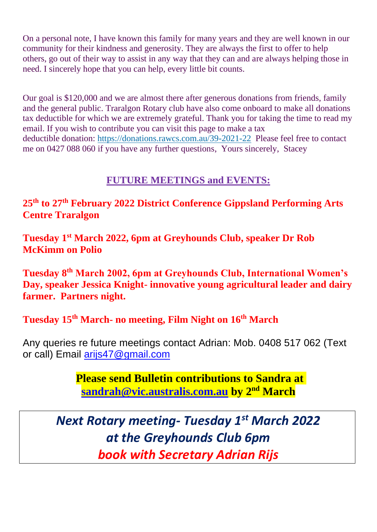On a personal note, I have known this family for many years and they are well known in our community for their kindness and generosity. They are always the first to offer to help others, go out of their way to assist in any way that they can and are always helping those in need. I sincerely hope that you can help, every little bit counts.

Our goal is \$120,000 and we are almost there after generous donations from friends, family and the general public. Traralgon Rotary club have also come onboard to make all donations tax deductible for which we are extremely grateful. Thank you for taking the time to read my email. If you wish to contribute you can visit this page to make a tax deductible donation: <https://donations.rawcs.com.au/39-2021-22>Please feel free to contact me on 0427 088 060 if you have any further questions, Yours sincerely, Stacey

#### **FUTURE MEETINGS and EVENTS:**

**25th to 27th February 2022 District Conference Gippsland Performing Arts Centre Traralgon**

**Tuesday 1st March 2022, 6pm at Greyhounds Club, speaker Dr Rob McKimm on Polio**

**Tuesday 8th March 2002, 6pm at Greyhounds Club, International Women's Day, speaker Jessica Knight- innovative young agricultural leader and dairy farmer. Partners night.**

#### **Tuesday 15th March- no meeting, Film Night on 16th March**

Any queries re future meetings contact Adrian: Mob. 0408 517 062 (Text or call) Email [arijs47@gmail.com](mailto:arijs47@gmail.com)

> **Please send Bulletin contributions to Sandra at [sandrah@vic.australis.com.au](mailto:sandrah@vic.australis.com.au) by 2 nd March**

*Next Rotary meeting- Tuesday 1 st March 2022 at the Greyhounds Club 6pm book with Secretary Adrian Rijs*